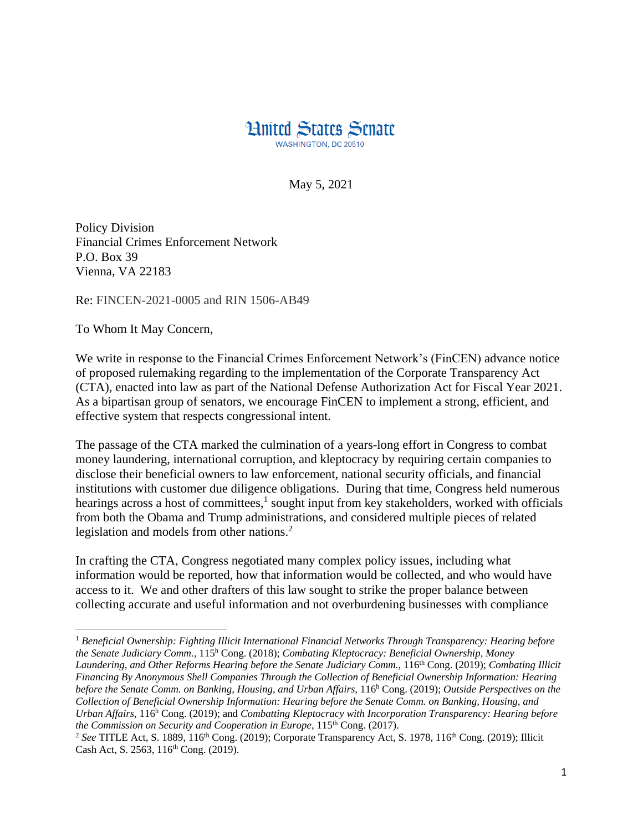

May 5, 2021

Policy Division Financial Crimes Enforcement Network P.O. Box 39 Vienna, VA 22183

Re: FINCEN-2021-0005 and RIN 1506-AB49

To Whom It May Concern,

 $\overline{\phantom{a}}$ 

We write in response to the Financial Crimes Enforcement Network's (FinCEN) advance notice of proposed rulemaking regarding to the implementation of the Corporate Transparency Act (CTA), enacted into law as part of the National Defense Authorization Act for Fiscal Year 2021. As a bipartisan group of senators, we encourage FinCEN to implement a strong, efficient, and effective system that respects congressional intent.

The passage of the CTA marked the culmination of a years-long effort in Congress to combat money laundering, international corruption, and kleptocracy by requiring certain companies to disclose their beneficial owners to law enforcement, national security officials, and financial institutions with customer due diligence obligations. During that time, Congress held numerous hearings across a host of committees, $<sup>1</sup>$  sought input from key stakeholders, worked with officials</sup> from both the Obama and Trump administrations, and considered multiple pieces of related legislation and models from other nations. 2

In crafting the CTA, Congress negotiated many complex policy issues, including what information would be reported, how that information would be collected, and who would have access to it. We and other drafters of this law sought to strike the proper balance between collecting accurate and useful information and not overburdening businesses with compliance

<sup>1</sup> *Beneficial Ownership: Fighting Illicit International Financial Networks Through Transparency: Hearing before the Senate Judiciary Comm.*, 115<sup>h</sup> Cong. (2018); *Combating Kleptocracy: Beneficial Ownership, Money Laundering, and Other Reforms Hearing before the Senate Judiciary Comm.*, 116th Cong. (2019); *Combating Illicit Financing By Anonymous Shell Companies Through the Collection of Beneficial Ownership Information: Hearing before the Senate Comm. on Banking, Housing, and Urban Affairs*, 116<sup>h</sup> Cong. (2019); *Outside Perspectives on the Collection of Beneficial Ownership Information: Hearing before the Senate Comm. on Banking, Housing, and Urban Affairs*, 116<sup>h</sup> Cong. (2019); and *Combatting Kleptocracy with Incorporation Transparency: Hearing before the Commission on Security and Cooperation in Europe*, 115<sup>th</sup> Cong. (2017).

<sup>&</sup>lt;sup>2</sup> See TITLE Act, S. 1889, 116<sup>th</sup> Cong. (2019); Corporate Transparency Act, S. 1978, 116<sup>th</sup> Cong. (2019); Illicit Cash Act, S. 2563, 116<sup>th</sup> Cong. (2019).